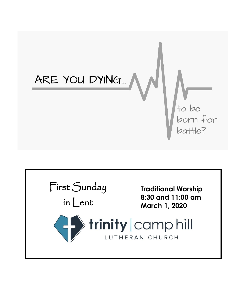

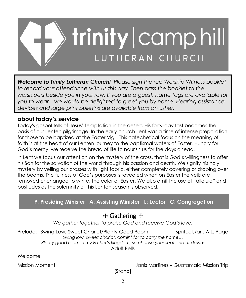

*Welcome to Trinity Lutheran Church! Please sign the red Worship Witness booklet to record your attendance with us this day. Then pass the booklet to the worshipers beside you in your row. If you are a guest, name tags are available for you to wear---we would be delighted to greet you by name. Hearing assistance devices and large print bulletins are available from an usher.*

## **about today's service**

Today's gospel tells of Jesus' temptation in the desert. His forty-day fast becomes the basis of our Lenten pilgrimage. In the early church Lent was a time of intense preparation for those to be baptized at the Easter Vigil. This catechetical focus on the meaning of faith is at the heart of our Lenten journey to the baptismal waters of Easter. Hungry for God's mercy, we receive the bread of life to nourish us for the days ahead.

In Lent we focus our attention on the mystery of the cross, that is God's willingness to offer his Son for the salvation of the world through his passion and death. We signify his holy mystery by veiling our crosses with light fabric, either completely covering or draping over the beams. The fullness of God's purposes is revealed when on Easter the veils are removed or changed to white, the color of Easter. We also omit the use of "alleluia" and postludes as the solemnity of this Lenten season is observed.

## **P: Presiding Minister A: Assisting Minister L: Lector C: Congregation**

## + Gathering +

*We gather together to praise God and receive God's love.*

Prelude: "Swing Low, Sweet Chariot/Plenty Good Room" sprituals/arr. A.L. Page *Swing low, sweet chariot, comin' for to carry me home… Plenty good room in my Father's kingdom, so choose your seat and sit down!* Adult Bells

Welcome

Mission Moment Janis Martinez – Guatamala Mission Trip

[Stand]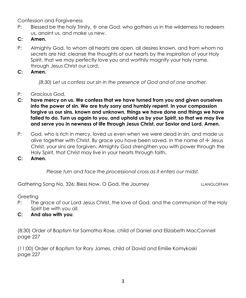Confession and Forgiveness

- P: Blessed be the holy Trinity,  $\pm$  one God, who gathers us in the wilderness to redeem us, anoint us, and make us new.
- **C: Amen.**
- P: Almighty God, to whom all hearts are open, all desires known, and from whom no secrets are hid: cleanse the thoughts of our hearts by the inspiration of your Holy Spirit, that we may perfectly love you and worthily magnify your holy name, through Jesus Christ our Lord.
- **C: Amen.**

*(8:30) Let us confess our sin in the presence of God and of one another.*

- P: Gracious God,
- **C: have mercy on us. We confess that we have turned from you and given ourselves into the power of sin. We are truly sorry and humbly repent. In your compassion forgive us our sins, known and unknown, things we have done and things we have failed to do. Turn us again to you, and uphold us by your Spirit, so that we may live and serve you in newness of life through Jesus Christ, our Savior and Lord. Amen.**
- P: God, who is rich in mercy, loved us even when we were dead in sin, and made us alive together with Christ. By grace you have been saved. In the name of  $\pm$  Jesus Christ, your sins are forgiven. Almighty God strengthen you with power through the Holy Spirit, that Christ may live in your hearts through faith.
- **C: Amen.**

*Please turn and face the processional cross as it enters our midst.*

Gathering Song No. 326: Bless Now, O God, the Journey The Manusculle LLANGLOFFAN

**Greeting** 

- P: The grace of our Lord Jesus Christ, the love of God, and the communion of the Holy Spirit be with you all.
- **C: And also with you**.

(8:30) Order of Baptism for Samatha Rose, child of Daniel and Elizabeth MacConnell page 227

(11:00) Order of Baptism for Rory James, child of David and Emilie Komykoski page 227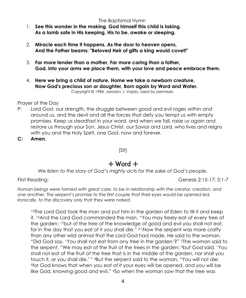#### The Baptismal Hymn

- 1. **See this wonder in the making, God himself this child is taking, As a lamb safe in His keeping, His to be, awake or sleeping.**
- 2. **Miracle each time it happens, As the door to heaven opens, And the Father beams: "Beloved Heir of gifts a king would covet!"**
- 3. **Far more tender than a mother, Far more caring than a father, God, into your arms we place them, with your love and peace embrace them.**
- 4. **Here we bring a child of nature, Home we take a newborn creature, Now God's precious son or daughter, Born again by Word and Water.** Copyright © 1984, Jaroslav J. Vajda. Used by permissio

Prayer of the Day

P: Lord God, our strength, the struggle between good and evil rages within and around us, and the devil and all the forces that defy you tempt us with empty promises. Keep us steadfast in your word, and when we fall, raise us again and restore us through your Son, Jesus Christ, our Savior and Lord, who lives and reigns with you and the Holy Spirit, one God, now and forever.

**C: Amen.**

[Sit]

# $+$  Word  $+$

*We listen to the story of God's mighty acts for the sake of God's people.*

First Reading: Genesis 2:15-17; 3:1-7

*Human beings were formed with great care, to be in relationship with the creator, creation, and one another. The serpent's promise to the first couple that their eyes would be opened led, ironically, to the discovery only that they were naked.*

<sup>15</sup>The Lord God took the man and put him in the garden of Eden to till it and keep it. 16And the Lord God commanded the man, "You may freely eat of every tree of the garden; 17but of the tree of the knowledge of good and evil you shall not eat, for in the day that you eat of it you shall die." 3:1Now the serpent was more crafty than any other wild animal that the Lord God had made. He said to the woman, "Did God say, 'You shall not eat from any tree in the garden'?" 2The woman said to the serpent, "We may eat of the fruit of the trees in the garden; 3but God said, 'You shall not eat of the fruit of the tree that is in the middle of the garden, nor shall you touch it, or you shall die.' " <sup>4</sup>But the serpent said to the woman, "You will not die; <sup>5</sup>for God knows that when you eat of it your eyes will be opened, and you will be like God, knowing good and evil." 'So when the woman saw that the tree was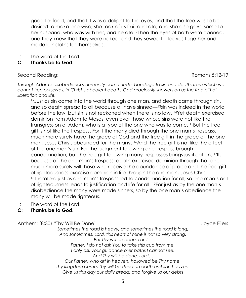good for food, and that it was a delight to the eyes, and that the tree was to be desired to make one wise, she took of its fruit and ate; and she also gave some to her husband, who was with her, and he ate. 7Then the eyes of both were opened, and they knew that they were naked; and they sewed fig leaves together and made loincloths for themselves.

L: The word of the Lord.

#### **C: Thanks be to God.**

Second Reading:  $\sim$  Romans 5:12-19

*Through Adam's disobedience, humanity came under bondage to sin and death, from which we cannot free ourselves. In Christ's obedient death, God graciously showers on us the free gift of liberation and life.*

 $12$  Just as sin came into the world through one man, and death came through sin, and so death spread to all because all have sinned—13sin was indeed in the world before the law, but sin is not reckoned when there is no law. 14Yet death exercised dominion from Adam to Moses, even over those whose sins were not like the transgression of Adam, who is a type of the one who was to come. 15But the free gift is not like the trespass. For if the many died through the one man's trespass, much more surely have the grace of God and the free gift in the grace of the one man, Jesus Christ, abounded for the many. <sup>16</sup>And the free gift is not like the effect of the one man's sin. For the judgment following one trespass brought condemnation, but the free gift following many trespasses brings justification. 17If, because of the one man's trespass, death exercised dominion through that one, much more surely will those who receive the abundance of grace and the free gift of righteousness exercise dominion in life through the one man, Jesus Christ. <sup>18</sup>Therefore just as one man's trespass led to condemnation for all, so one man's act of righteousness leads to justification and life for all. 19For just as by the one man's disobedience the many were made sinners, so by the one man's obedience the many will be made righteous.

L: The word of the Lord.

#### **C: Thanks be to God.**

Anthem: (8:30) "Thy Will Be Done" and the state of the state of the state of the state of the state of the state of the state of the state of the state of the state of the state of the state of the state of the state of th

*Sometimes the road is heavy, and sometimes the road is long, And sometimes, Lord, this heart of mine is not so very strong. But Thy will be done, Lord… Father, I do not ask You to take this cup from me. I only ask your guidance o'er paths I cannot see. And Thy will be done, Lord… Our Father, who art in heaven, hallowed be Thy name. Thy kingdom come, Thy will be done on earth as it is in heaven. Give us this day our daily bread; and forgive us our debts*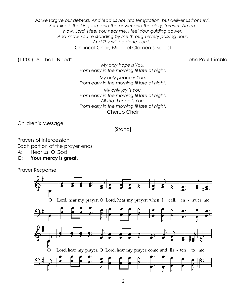*As we forgive our debtors. And lead us not into temptation, but deliver us from evil. For thine is the kingdom and the power and the glory, forever. Amen. Now, Lord, I feel You near me. I feel Your guiding power. And know You're standing by me through every passing hour. And Thy will be done, Lord…* Chancel Choir; Michael Clements, soloist

#### (11:00) "All That I Need" John Paul Trimble

*My only hope is You. From early in the morning til late at night.*

*My only peace is You. From early in the morning til late at night.*

*My only joy is You. From early in the morning til late at night. All that I need is You. From early in the morning til late at night.* Cherub Choir

Children's Message

#### [Stand]

Prayers of Intercession Each portion of the prayer ends:

- A: Hear us, O God.
- **C: Your mercy is great.**

Prayer Response

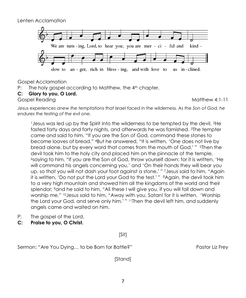Lenten Acclamation



Gospel Acclamation

- P: The holy gospel according to Matthew, the 4<sup>th</sup> chapter.
- **C: Glory to you, O Lord.**

Gospel Reading Matthew 4:1-11

Jesus experiences anew the temptations that Israel faced in the wilderness. As the Son of God, he *endures the testing of the evil one.*

<sup>1</sup>Jesus was led up by the Spirit into the wilderness to be tempted by the devil. 2He fasted forty days and forty nights, and afterwards he was famished. 3The tempter came and said to him, "If you are the Son of God, command these stones to become loaves of bread." 4But he answered, "It is written, 'One does not live by bread alone, but by every word that comes from the mouth of God.' " <sup>5</sup>Then the devil took him to the holy city and placed him on the pinnacle of the temple, <sup>6</sup>saying to him, "If you are the Son of God, throw yourself down; for it is written, 'He will command his angels concerning you,' and 'On their hands they will bear you up, so that you will not dash your foot against a stone.' " 7Jesus said to him, "Again it is written, 'Do not put the Lord your God to the test.' " 8Again, the devil took him to a very high mountain and showed him all the kingdoms of the world and their splendor; 9and he said to him, "All these I will give you, if you will fall down and worship me." 10Jesus said to him, "Away with you, Satan! for it is written, 'Worship the Lord your God, and serve only him.' " 11Then the devil left him, and suddenly angels came and waited on him.

- P: The gospel of the Lord.
- **C: Praise to you, O Christ.**

[Sit]

Sermon: "Are You Dying... to be Born for Battle?" Pastor Liz Frey

[Stand]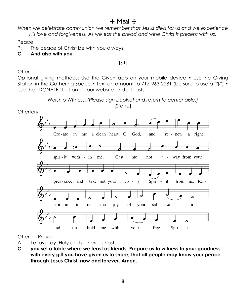# $+$  Meal  $+$

*When we celebrate communion we remember that Jesus died for us and we experience His love and forgiveness. As we eat the bread and wine Christ is present with us.*

Peace

P: The peace of Christ be with you always.

**C: And also with you.** 

[Sit]

**Offering** 

Optional giving methods: Use the Give+ app on your mobile device • Use the Giving Station in the Gathering Space • Text an amount to 717-963-2281 (be sure to use a "\$") • Use the "DONATE" button on our website and e-blasts



Offering Prayer

- A: Let us pray. Holy and generous host,
- **C: you set a table where we feast as friends. Prepare us to witness to your goodness with every gift you have given us to share, that all people may know your peace through Jesus Christ, now and forever. Amen.**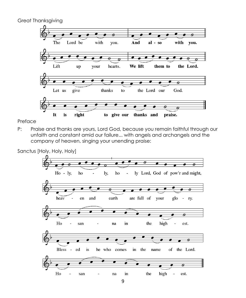Great Thanksgiving



Preface

P: Praise and thanks are yours, Lord God, because you remain faithful through our unfaith and constant amid our failure... with angels and archangels and the company of heaven, singing your unending praise:

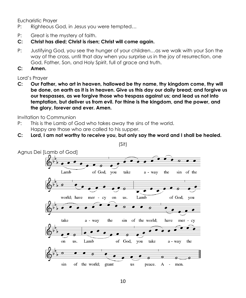Eucharistic Prayer

- P: Righteous God, in Jesus you were tempted…
- P: Great is the mystery of faith.
- **C: Christ has died; Christ is risen; Christ will come again.**
- P: Justifying God, you see the hunger of your children…as we walk with your Son the way of the cross, until that day when you surprise us in the joy of resurrection, one God, Father, Son, and Holy Spirit, full of grace and truth.
- **C: Amen.**

Lord's Prayer

**C: Our Father, who art in heaven, hallowed be thy name, thy kingdom come, thy will be done, on earth as it is in heaven. Give us this day our daily bread; and forgive us our trespasses, as we forgive those who trespass against us; and lead us not into temptation, but deliver us from evil. For thine is the kingdom, and the power, and the glory, forever and ever. Amen.**

Invitation to Communion

- P: This is the Lamb of God who takes away the sins of the world. Happy are those who are called to his supper.
- **C: Lord, I am not worthy to receive you, but only say the word and I shall be healed.**



(Sit)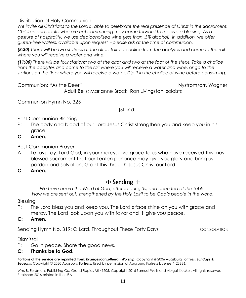Distribution of Holy Communion

*We invite all Christians to the Lord's Table to celebrate the real presence of Christ in the Sacrament. Children and adults who are not communing may come forward to receive a blessing. As a gesture of hospitality, we use dealcoholized wine (less than .5% alcohol). In addition, we offer gluten-free wafers, available upon request - please ask at the time of communion.* 

*(8:30) There will be two stations at the altar. Take a chalice from the acolytes and come to the rail where you will receive a wafer and wine.* 

*(11:00) There will be four stations: two at the altar and two at the foot of the steps. Take a chalice from the acolytes and come to the rail where you will receive a wafer and wine, or go to the stations on the floor where you will receive a wafer. Dip it in the chalice of wine before consuming.*

Communion: "As the Deer" Nystrom/arr. Wagner

Adult Bells; Marianne Brock, Ron Livingston, soloists

Communion Hymn No. 325

[Stand]

Post-Communion Blessing

- P: The body and blood of our Lord Jesus Christ strengthen you and keep you in his grace.
- **C: Amen.**

Post-Communion Prayer

A: Let us pray. Lord God, in your mercy, give grace to us who have received this most blessed sacrament that our Lenten penance may give you glory and bring us pardon and salvation. Grant this through Jesus Christ our Lord.

**C: Amen.**

#### + Sending +

*We have heard the Word of God, offered our gifts, and been fed at the table. Now we are sent out, strengthened by the Holy Spirit to be God's people in the world.*

Blessing

- P: The Lord bless you and keep you. The Lord's face shine on you with grace and mercy. The Lord look upon you with favor and  $+$  give you peace.
- **C: Amen.**

Sending Hymn No. 319: O Lord, Throughout These Forty Days CONSOLATION

Dismissal

- P: Go in peace. Share the good news.
- **C: Thanks be to God.**

**Portions of the service are reprinted from:** *Evangelical Lutheran Worship*, Copyright © 2006 Augsburg Fortress. *Sundays & Seasons*, Copyright © 2020 Augsburg Fortress. Used by permission of Augsburg Fortress License # 23686.

Wm. B. Eerdmans Publishing Co. Grand Rapids MI 49505. Copyright 2016 Samuel Wells and Abigail Kocker. All rights reserved. Published 2016 printed in the USA